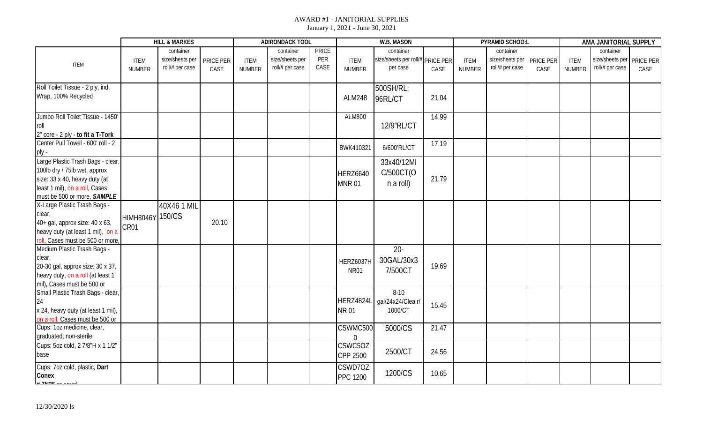|                                    |                  | <b>HILL &amp; MARKES</b> |           |               | <b>ADIRONDACK TOOL</b> |              |                 | <b>W.B. MASON</b>           |                  |               | PYRAMID SCHOO:L |           |               | AMA JANITORIAL SUPPLY       |      |
|------------------------------------|------------------|--------------------------|-----------|---------------|------------------------|--------------|-----------------|-----------------------------|------------------|---------------|-----------------|-----------|---------------|-----------------------------|------|
|                                    |                  | container                |           |               | container              | <b>PRICE</b> |                 | container                   |                  |               | container       |           |               | container                   |      |
|                                    | <b>ITEM</b>      | size/sheets per          | PRICE PER | <b>ITEM</b>   | size/sheets per        | PER          | <b>ITEM</b>     | size/sheets per roll/#      | <b>PRICE PER</b> | <b>ITEM</b>   | size/sheets per | PRICE PER | <b>ITEM</b>   | size/sheets per   PRICE PER |      |
| <b>ITEM</b>                        | <b>NUMBER</b>    | roll/# per case          | CASE      | <b>NUMBER</b> | roll/# per case        | CASE         | <b>NUMBER</b>   | per case                    | CASE             | <b>NUMBER</b> | roll/# per case | CASE      | <b>NUMBER</b> | roll/# per case             | CASE |
|                                    |                  |                          |           |               |                        |              |                 |                             |                  |               |                 |           |               |                             |      |
| Roll Toilet Tissue - 2 ply, ind.   |                  |                          |           |               |                        |              |                 | 500SH/RL;                   |                  |               |                 |           |               |                             |      |
| Wrap, 100% Recycled                |                  |                          |           |               |                        |              | <b>ALM248</b>   | 96RL/CT                     | 21.04            |               |                 |           |               |                             |      |
|                                    |                  |                          |           |               |                        |              |                 |                             |                  |               |                 |           |               |                             |      |
| Jumbo Roll Toilet Tissue - 1450'   |                  |                          |           |               |                        |              | <b>ALM800</b>   |                             | 14.99            |               |                 |           |               |                             |      |
| roll                               |                  |                          |           |               |                        |              |                 | 12/9"RL/CT                  |                  |               |                 |           |               |                             |      |
| 2" core - 2 ply - to fit a T-Tork  |                  |                          |           |               |                        |              |                 |                             |                  |               |                 |           |               |                             |      |
| Center Pull Towel - 600' roll - 2  |                  |                          |           |               |                        |              |                 |                             | 17.19            |               |                 |           |               |                             |      |
| ply -                              |                  |                          |           |               |                        |              | BWK410321       | 6/600'RL/CT                 |                  |               |                 |           |               |                             |      |
| Large Plastic Trash Bags - clear   |                  |                          |           |               |                        |              |                 | 33x40/12MI                  |                  |               |                 |           |               |                             |      |
| 100lb dry / 75lb wet, approx       |                  |                          |           |               |                        |              |                 | C/500CT(O                   |                  |               |                 |           |               |                             |      |
| size: 33 x 40, heavy duty (at      |                  |                          |           |               |                        |              | <b>HERZ6640</b> |                             | 21.79            |               |                 |           |               |                             |      |
| least 1 mil), on a roll, Cases     |                  |                          |           |               |                        |              | <b>MNR01</b>    | n a roll)                   |                  |               |                 |           |               |                             |      |
| must be 500 or more, SAMPLE        |                  |                          |           |               |                        |              |                 |                             |                  |               |                 |           |               |                             |      |
| X-Large Plastic Trash Bags -       |                  | 40X46 1 MIL              |           |               |                        |              |                 |                             |                  |               |                 |           |               |                             |      |
| clear,                             | HIMH8046Y 150/CS |                          |           |               |                        |              |                 |                             |                  |               |                 |           |               |                             |      |
| 40+ gal, approx size: 40 x 63,     | CR01             |                          | 20.10     |               |                        |              |                 |                             |                  |               |                 |           |               |                             |      |
| heavy duty (at least 1 mil), on a  |                  |                          |           |               |                        |              |                 |                             |                  |               |                 |           |               |                             |      |
| roll, Cases must be 500 or more,   |                  |                          |           |               |                        |              |                 |                             |                  |               |                 |           |               |                             |      |
| Medium Plastic Trash Bags -        |                  |                          |           |               |                        |              |                 | $20 -$                      |                  |               |                 |           |               |                             |      |
| clear,                             |                  |                          |           |               |                        |              | HERZ6037H       | 30GAL/30x3                  |                  |               |                 |           |               |                             |      |
| 20-30 gal, approx size: 30 x 37,   |                  |                          |           |               |                        |              | <b>NR01</b>     | 7/500CT                     | 19.69            |               |                 |           |               |                             |      |
| heavy duty, on a roll (at least 1  |                  |                          |           |               |                        |              |                 |                             |                  |               |                 |           |               |                             |      |
| mil), Cases must be 500 or         |                  |                          |           |               |                        |              |                 |                             |                  |               |                 |           |               |                             |      |
| Small Plastic Trash Bags - clear   |                  |                          |           |               |                        |              |                 | $8-10$                      |                  |               |                 |           |               |                             |      |
| 24                                 |                  |                          |           |               |                        |              |                 | HERZ4824L gal/24x24/Clea r/ | 15.45            |               |                 |           |               |                             |      |
| x 24, heavy duty (at least 1 mil), |                  |                          |           |               |                        |              | <b>NR01</b>     | 1000/CT                     |                  |               |                 |           |               |                             |      |
| on a roll, Cases must be 500 or    |                  |                          |           |               |                        |              |                 |                             |                  |               |                 |           |               |                             |      |
| Cups: 1oz medicine, clear,         |                  |                          |           |               |                        |              | CSWMC500        | 5000/CS                     | 21.47            |               |                 |           |               |                             |      |
| graduated, non-sterile             |                  |                          |           |               |                        |              | $\Omega$        |                             |                  |               |                 |           |               |                             |      |
| Cups: 5oz cold, 2 7/8"H x 1 1/2"   |                  |                          |           |               |                        |              | CSWC5OZ         | 2500/CT                     | 24.56            |               |                 |           |               |                             |      |
| base                               |                  |                          |           |               |                        |              | CPP 2500        |                             |                  |               |                 |           |               |                             |      |
| Cups: 7oz cold, plastic, Dart      |                  |                          |           |               |                        |              | CSWD7OZ         |                             |                  |               |                 |           |               |                             |      |
| Conex                              |                  |                          |           |               |                        |              | <b>PPC 1200</b> | 1200/CS                     | 10.65            |               |                 |           |               |                             |      |
| $\mu$ and $\sigma$                 |                  |                          |           |               |                        |              |                 |                             |                  |               |                 |           |               |                             |      |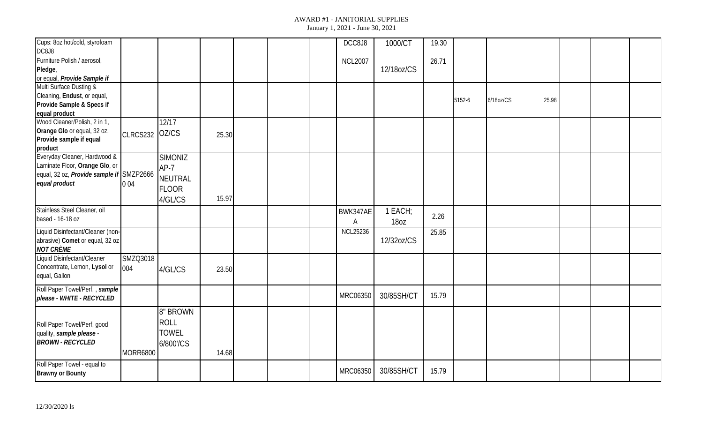| Cups: 8oz hot/cold, styrofoam<br>DC8J8                                                                                      |                 |                                                                       |       |  | DCC8J8          | 1000/CT         | 19.30 |        |           |       |  |  |
|-----------------------------------------------------------------------------------------------------------------------------|-----------------|-----------------------------------------------------------------------|-------|--|-----------------|-----------------|-------|--------|-----------|-------|--|--|
| Furniture Polish / aerosol,<br>Pledge,<br>or equal, Provide Sample if                                                       |                 |                                                                       |       |  | <b>NCL2007</b>  | 12/18oz/CS      | 26.71 |        |           |       |  |  |
| Multi Surface Dusting &<br>Cleaning, Endust, or equal,<br>Provide Sample & Specs if<br>equal product                        |                 |                                                                       |       |  |                 |                 |       | 5152-6 | 6/18oz/CS | 25.98 |  |  |
| Wood Cleaner/Polish, 2 in 1,<br>Orange Glo or equal, 32 oz,<br>Provide sample if equal<br>product                           | CLRCS232        | 12/17<br>OZ/CS                                                        | 25.30 |  |                 |                 |       |        |           |       |  |  |
| Everyday Cleaner, Hardwood &<br>Laminate Floor, Orange Glo, or<br>equal, 32 oz, Provide sample if SMZP2666<br>equal product | 004             | <b>SIMONIZ</b><br>$AP-7$<br><b>NEUTRAL</b><br><b>FLOOR</b><br>4/GL/CS | 15.97 |  |                 |                 |       |        |           |       |  |  |
| Stainless Steel Cleaner, oil<br>based - 16-18 oz                                                                            |                 |                                                                       |       |  | BWK347AE<br>А   | 1 EACH;<br>18oz | 2.26  |        |           |       |  |  |
| Liquid Disinfectant/Cleaner (non-<br>abrasive) Comet or equal, 32 oz<br><b>NOT CRÈME</b>                                    |                 |                                                                       |       |  | <b>NCL25236</b> | 12/32oz/CS      | 25.85 |        |           |       |  |  |
| Liquid Disinfectant/Cleaner<br>Concentrate, Lemon, Lysol or<br>equal, Gallon                                                | SMZQ3018<br>004 | 4/GL/CS                                                               | 23.50 |  |                 |                 |       |        |           |       |  |  |
| Roll Paper Towel/Perf,, sample<br>please - WHITE - RECYCLED                                                                 |                 |                                                                       |       |  | <b>MRC06350</b> | 30/85SH/CT      | 15.79 |        |           |       |  |  |
| Roll Paper Towel/Perf, good<br>quality, sample please -<br><b>BROWN - RECYCLED</b>                                          | MORR6800        | 8" BROWN<br><b>ROLL</b><br><b>TOWEL</b><br>6/800'/CS                  | 14.68 |  |                 |                 |       |        |           |       |  |  |
| Roll Paper Towel - equal to<br><b>Brawny or Bounty</b>                                                                      |                 |                                                                       |       |  | MRC06350        | 30/85SH/CT      | 15.79 |        |           |       |  |  |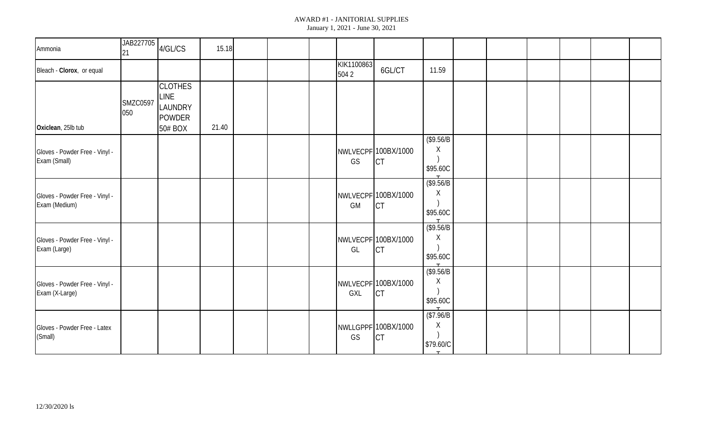| Ammonia                                          | JAB227705<br>21        | 4/GL/CS                                                       | 15.18 |  |                    |                                  |                                                     |  |  |  |
|--------------------------------------------------|------------------------|---------------------------------------------------------------|-------|--|--------------------|----------------------------------|-----------------------------------------------------|--|--|--|
| Bleach - Clorox, or equal                        |                        |                                                               |       |  | KIK1100863<br>5042 | 6GL/CT                           | 11.59                                               |  |  |  |
| Oxiclean, 25lb tub                               | <b>SMZC0597</b><br>050 | <b>CLOTHES</b><br>LINE<br>LAUNDRY<br><b>POWDER</b><br>50# BOX | 21.40 |  |                    |                                  |                                                     |  |  |  |
| Gloves - Powder Free - Vinyl -<br>Exam (Small)   |                        |                                                               |       |  | GS                 | NWLVECPF 100BX/1000<br><b>CT</b> | (\$9.56/B)<br>Χ<br>\$95.60C                         |  |  |  |
| Gloves - Powder Free - Vinyl -<br>Exam (Medium)  |                        |                                                               |       |  | GM                 | NWLVECPF 100BX/1000<br><b>CT</b> | (\$9.56/B)<br>Χ<br>\$95.60C                         |  |  |  |
| Gloves - Powder Free - Vinyl -<br>Exam (Large)   |                        |                                                               |       |  | GL                 | NWLVECPF 100BX/1000<br><b>CT</b> | $($ \$9.56 $/B$<br>Χ<br>\$95.60C<br>$\mathbf{\tau}$ |  |  |  |
| Gloves - Powder Free - Vinyl -<br>Exam (X-Large) |                        |                                                               |       |  | GXL                | NWLVECPF 100BX/1000<br><b>CT</b> | (\$9.56/B)<br>Χ<br>\$95.60C                         |  |  |  |
| Gloves - Powder Free - Latex<br>(Small)          |                        |                                                               |       |  | GS                 | NWLLGPPF 100BX/1000<br><b>CT</b> | \$7.96/B<br>Χ<br>\$79.60/C                          |  |  |  |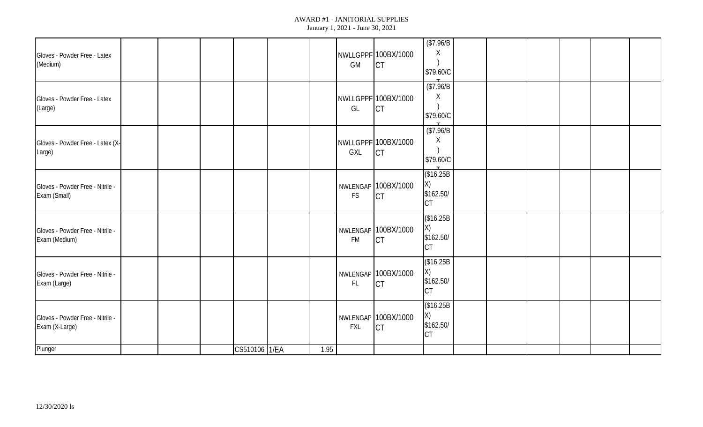| Gloves - Powder Free - Latex<br>(Medium)           |  |               |      | GM            | NWLLGPPF 100BX/1000<br><b>CT</b> | \$7.96/B<br>Χ<br>\$79.60/C                 |  |  |  |
|----------------------------------------------------|--|---------------|------|---------------|----------------------------------|--------------------------------------------|--|--|--|
| Gloves - Powder Free - Latex<br>(Large)            |  |               |      | GL            | NWLLGPPF 100BX/1000<br><b>CT</b> | \$7.96/B<br>X<br>\$79.60/C                 |  |  |  |
| Gloves - Powder Free - Latex (X-<br>Large)         |  |               |      | GXL           | NWLLGPPF 100BX/1000<br><b>CT</b> | \$7.96/B<br>Χ<br>\$79.60/C                 |  |  |  |
| Gloves - Powder Free - Nitrile -<br>Exam (Small)   |  |               |      | <b>FS</b>     | NWLENGAP 100BX/1000<br><b>CT</b> | \$16.25B<br>X)<br>\$162.50/<br><b>CT</b>   |  |  |  |
| Gloves - Powder Free - Nitrile -<br>Exam (Medium)  |  |               |      | <b>FM</b>     | NWLENGAP 100BX/1000<br><b>CT</b> | \$16.25B<br>X)<br>\$162.50/<br><b>CT</b>   |  |  |  |
| Gloves - Powder Free - Nitrile -<br>Exam (Large)   |  |               |      | $\mathsf{FL}$ | NWLENGAP 100BX/1000<br><b>CT</b> | (\$16.25B)<br>X)<br>\$162.50/<br><b>CT</b> |  |  |  |
| Gloves - Powder Free - Nitrile -<br>Exam (X-Large) |  |               |      | <b>FXL</b>    | NWLENGAP 100BX/1000<br><b>CT</b> | (\$16.25B<br>X)<br>\$162.50/<br><b>CT</b>  |  |  |  |
| Plunger                                            |  | CS510106 1/EA | 1.95 |               |                                  |                                            |  |  |  |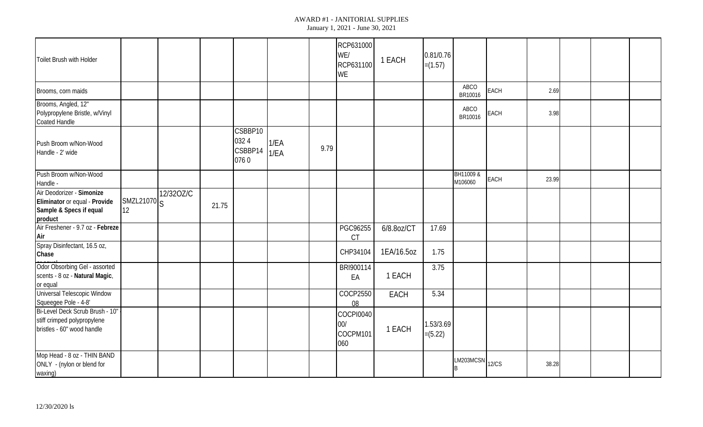| Toilet Brush with Holder                                                                         |                                                          |           |       |                                    |              |      | RCP631000<br>WE/<br>RCP631100<br>WE | 1 EACH     | 0.81/0.76<br>$=(1.57)$ |                      |             |       |  |  |
|--------------------------------------------------------------------------------------------------|----------------------------------------------------------|-----------|-------|------------------------------------|--------------|------|-------------------------------------|------------|------------------------|----------------------|-------------|-------|--|--|
| Brooms, corn maids                                                                               |                                                          |           |       |                                    |              |      |                                     |            |                        | ABCO<br>BR10016      | <b>EACH</b> | 2.69  |  |  |
| Brooms, Angled, 12"<br>Polypropylene Bristle, w/Vinyl<br><b>Coated Handle</b>                    |                                                          |           |       |                                    |              |      |                                     |            |                        | ABCO<br>BR10016      | <b>EACH</b> | 3.98  |  |  |
| Push Broom w/Non-Wood<br>Handle - 2' wide                                                        |                                                          |           |       | CSBBP10<br>0324<br>CSBBP14<br>0760 | 1/EA<br>1/EA | 9.79 |                                     |            |                        |                      |             |       |  |  |
| Push Broom w/Non-Wood<br>Handle -                                                                |                                                          |           |       |                                    |              |      |                                     |            |                        | BH11009 &<br>M106060 | <b>EACH</b> | 23.99 |  |  |
| Air Deodorizer - Simonize<br>Eliminator or equal - Provide<br>Sample & Specs if equal<br>product | $\left  \frac{\text{SMZL21070}}{\text{S}} \right $<br>12 | 12/320Z/C | 21.75 |                                    |              |      |                                     |            |                        |                      |             |       |  |  |
| Air Freshener - 9.7 oz - Febreze<br>Air                                                          |                                                          |           |       |                                    |              |      | PGC96255<br><b>CT</b>               | 6/8.8oz/CT | 17.69                  |                      |             |       |  |  |
| Spray Disinfectant, 16.5 oz,<br>Chase                                                            |                                                          |           |       |                                    |              |      | CHP34104                            | 1EA/16.5oz | 1.75                   |                      |             |       |  |  |
| Odor Obsorbing Gel - assorted<br>scents - 8 oz - Natural Magic,<br>or equal                      |                                                          |           |       |                                    |              |      | BRI900114<br>EA                     | 1 EACH     | 3.75                   |                      |             |       |  |  |
| <b>Universal Telescopic Window</b><br>Squeegee Pole - 4-8'                                       |                                                          |           |       |                                    |              |      | COCP2550<br>08                      | EACH       | 5.34                   |                      |             |       |  |  |
| Bi-Level Deck Scrub Brush - 10"<br>stiff crimped polypropylene<br>bristles - 60" wood handle     |                                                          |           |       |                                    |              |      | COCPI0040<br>00/<br>COCPM101<br>060 | 1 EACH     | 1.53/3.69<br>$=(5.22)$ |                      |             |       |  |  |
| Mop Head - 8 oz - THIN BAND<br>ONLY - (nylon or blend for<br>waxing)                             |                                                          |           |       |                                    |              |      |                                     |            |                        | $LM203MCSN$ $12/CS$  |             | 38.28 |  |  |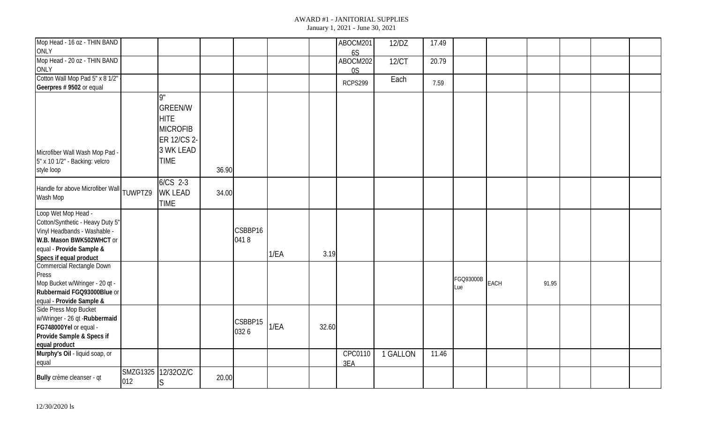| Mop Head - 16 oz - THIN BAND<br><b>ONLY</b>                                                                                                                               |     |                                                                                                                   |       |                 |      |       | ABOCM201<br>6S | 12/DZ    | 17.49 |                  |             |       |  |  |
|---------------------------------------------------------------------------------------------------------------------------------------------------------------------------|-----|-------------------------------------------------------------------------------------------------------------------|-------|-----------------|------|-------|----------------|----------|-------|------------------|-------------|-------|--|--|
| Mop Head - 20 oz - THIN BAND<br>ONLY                                                                                                                                      |     |                                                                                                                   |       |                 |      |       | ABOCM202<br>0S | 12/CT    | 20.79 |                  |             |       |  |  |
| Cotton Wall Mop Pad 5" x 8 1/2"<br>Geerpres # 9502 or equal                                                                                                               |     |                                                                                                                   |       |                 |      |       | RCPS299        | Each     | 7.59  |                  |             |       |  |  |
| Microfiber Wall Wash Mop Pad -<br>5" x 10 1/2" - Backing: velcro<br>style loop                                                                                            |     | $q^{\prime\prime}$<br><b>GREEN/W</b><br><b>HITE</b><br><b>MICROFIB</b><br>ER 12/CS 2-<br>3 WK LEAD<br><b>TIME</b> | 36.90 |                 |      |       |                |          |       |                  |             |       |  |  |
| Handle for above Microfiber Wall TUWPTZ9<br>Wash Mop                                                                                                                      |     | 6/CS 2-3<br><b>WK LEAD</b><br><b>TIME</b>                                                                         | 34.00 |                 |      |       |                |          |       |                  |             |       |  |  |
| Loop Wet Mop Head -<br>Cotton/Synthetic - Heavy Duty 5"<br>Vinyl Headbands - Washable -<br>W.B. Mason BWK502WHCT or<br>equal - Provide Sample &<br>Specs if equal product |     |                                                                                                                   |       | CSBBP16<br>0418 | 1/EA | 3.19  |                |          |       |                  |             |       |  |  |
| Commercial Rectangle Down<br>Press<br>Mop Bucket w/Wringer - 20 qt -<br>Rubbermaid FGQ93000Blue or<br>equal - Provide Sample &                                            |     |                                                                                                                   |       |                 |      |       |                |          |       | FGQ93000B<br>Lue | <b>EACH</b> | 91.95 |  |  |
| Side Press Mop Bucket<br>w/Wringer - 26 qt - Rubbermaid<br>FG748000Yel or equal -<br>Provide Sample & Specs if<br>equal product                                           |     |                                                                                                                   |       | CSBBP15<br>0326 | 1/EA | 32.60 |                |          |       |                  |             |       |  |  |
| Murphy's Oil - liquid soap, or<br>equal                                                                                                                                   |     |                                                                                                                   |       |                 |      |       | CPC0110<br>3EA | 1 GALLON | 11.46 |                  |             |       |  |  |
| Bully crème cleanser - qt                                                                                                                                                 | 012 | SMZG1325 12/32OZ/C<br>S                                                                                           | 20.00 |                 |      |       |                |          |       |                  |             |       |  |  |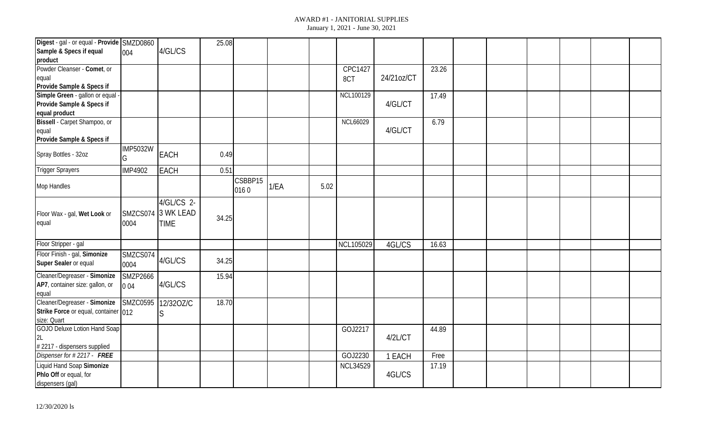| Digest - gal - or equal - Provide SMZD0860 |                      |                    | 25.08 |         |      |      |                 |            |       |  |  |  |
|--------------------------------------------|----------------------|--------------------|-------|---------|------|------|-----------------|------------|-------|--|--|--|
| Sample & Specs if equal                    | 004                  | 4/GL/CS            |       |         |      |      |                 |            |       |  |  |  |
| product                                    |                      |                    |       |         |      |      |                 |            |       |  |  |  |
| Powder Cleanser - Comet, or                |                      |                    |       |         |      |      | CPC1427         |            | 23.26 |  |  |  |
| equal                                      |                      |                    |       |         |      |      | 8CT             | 24/21oz/CT |       |  |  |  |
| Provide Sample & Specs if                  |                      |                    |       |         |      |      |                 |            |       |  |  |  |
| Simple Green - gallon or equal             |                      |                    |       |         |      |      | NCL100129       |            | 17.49 |  |  |  |
| Provide Sample & Specs if                  |                      |                    |       |         |      |      |                 | 4/GL/CT    |       |  |  |  |
| equal product                              |                      |                    |       |         |      |      |                 |            |       |  |  |  |
| Bissell - Carpet Shampoo, or               |                      |                    |       |         |      |      | <b>NCL66029</b> |            | 6.79  |  |  |  |
| equal                                      |                      |                    |       |         |      |      |                 | 4/GL/CT    |       |  |  |  |
| Provide Sample & Specs if                  |                      |                    |       |         |      |      |                 |            |       |  |  |  |
| Spray Bottles - 32oz                       | <b>IMP5032W</b><br>G | EACH               | 0.49  |         |      |      |                 |            |       |  |  |  |
| <b>Trigger Sprayers</b>                    | <b>IMP4902</b>       | <b>EACH</b>        | 0.51  |         |      |      |                 |            |       |  |  |  |
|                                            |                      |                    |       | CSBBP15 |      |      |                 |            |       |  |  |  |
| Mop Handles                                |                      |                    |       | 0160    | 1/EA | 5.02 |                 |            |       |  |  |  |
|                                            |                      | 4/GL/CS 2-         |       |         |      |      |                 |            |       |  |  |  |
| Floor Wax - gal, Wet Look or               |                      | SMZCS074 3 WK LEAD |       |         |      |      |                 |            |       |  |  |  |
| equal                                      | 0004                 | <b>TIME</b>        | 34.25 |         |      |      |                 |            |       |  |  |  |
|                                            |                      |                    |       |         |      |      |                 |            |       |  |  |  |
|                                            |                      |                    |       |         |      |      |                 |            |       |  |  |  |
| Floor Stripper - gal                       |                      |                    |       |         |      |      | NCL105029       | 4GL/CS     | 16.63 |  |  |  |
| Floor Finish - gal, Simonize               | SMZCS074             | 4/GL/CS            | 34.25 |         |      |      |                 |            |       |  |  |  |
| Super Sealer or equal                      | 0004                 |                    |       |         |      |      |                 |            |       |  |  |  |
| Cleaner/Degreaser - Simonize               | <b>SMZP2666</b>      |                    | 15.94 |         |      |      |                 |            |       |  |  |  |
| AP7, container size: gallon, or            | 004                  | 4/GL/CS            |       |         |      |      |                 |            |       |  |  |  |
| equal                                      |                      |                    |       |         |      |      |                 |            |       |  |  |  |
| Cleaner/Degreaser - Simonize               | <b>SMZC0595</b>      | 12/320Z/C          | 18.70 |         |      |      |                 |            |       |  |  |  |
| Strike Force or equal, container 012       |                      | S                  |       |         |      |      |                 |            |       |  |  |  |
| size: Quart                                |                      |                    |       |         |      |      |                 |            |       |  |  |  |
| GOJO Deluxe Lotion Hand Soap               |                      |                    |       |         |      |      | GOJ2217         |            | 44.89 |  |  |  |
| 2L                                         |                      |                    |       |         |      |      |                 | 4/2L/CT    |       |  |  |  |
| # 2217 - dispensers supplied               |                      |                    |       |         |      |      |                 |            |       |  |  |  |
| Dispenser for #2217 - FREE                 |                      |                    |       |         |      |      | GOJ2230         | 1 EACH     | Free  |  |  |  |
| Liquid Hand Soap Simonize                  |                      |                    |       |         |      |      | <b>NCL34529</b> |            | 17.19 |  |  |  |
| Phlo Off or equal, for                     |                      |                    |       |         |      |      |                 | 4GL/CS     |       |  |  |  |
| dispensers (gal)                           |                      |                    |       |         |      |      |                 |            |       |  |  |  |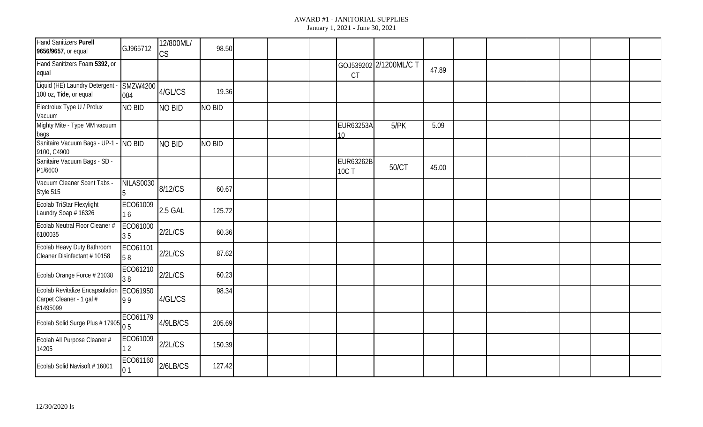| <b>Hand Sanitizers Purell</b><br>9656/9657, or equal                           | GJ965712               | 12/800ML/<br>CS | 98.50         |  |                                  |                        |       |  |  |  |
|--------------------------------------------------------------------------------|------------------------|-----------------|---------------|--|----------------------------------|------------------------|-------|--|--|--|
| Hand Sanitizers Foam 5392, or<br>equal                                         |                        |                 |               |  | CT                               | GOJ539202 2/1200ML/C T | 47.89 |  |  |  |
| Liquid (HE) Laundry Detergent<br>100 oz, Tide, or equal                        | <b>SMZW4200</b><br>004 | 4/GL/CS         | 19.36         |  |                                  |                        |       |  |  |  |
| Electrolux Type U / Prolux<br>Vacuum                                           | NO BID                 | <b>NO BID</b>   | <b>NO BID</b> |  |                                  |                        |       |  |  |  |
| Mighty Mite - Type MM vacuum<br>bags                                           |                        |                 |               |  | <b>EUR63253A</b><br>10           | 5/PK                   | 5.09  |  |  |  |
| Sanitaire Vacuum Bags - UP-1 - NO BID<br>9100, C4900                           |                        | NO BID          | <b>NO BID</b> |  |                                  |                        |       |  |  |  |
| Sanitaire Vacuum Bags - SD -<br>P1/6600                                        |                        |                 |               |  | <b>EUR63262B</b><br><b>10C T</b> | 50/CT                  | 45.00 |  |  |  |
| Vacuum Cleaner Scent Tabs -<br>Style 515                                       | NILAS0030              | 8/12/CS         | 60.67         |  |                                  |                        |       |  |  |  |
| Ecolab TriStar Flexylight<br>Laundry Soap # 16326                              | ECO61009<br>16         | 2.5 GAL         | 125.72        |  |                                  |                        |       |  |  |  |
| Ecolab Neutral Floor Cleaner #<br>6100035                                      | ECO61000<br>35         | 2/2L/CS         | 60.36         |  |                                  |                        |       |  |  |  |
| Ecolab Heavy Duty Bathroom<br>Cleaner Disinfectant #10158                      | ECO61101<br>58         | 2/2L/CS         | 87.62         |  |                                  |                        |       |  |  |  |
| Ecolab Orange Force # 21038                                                    | ECO61210<br>38         | 2/2L/CS         | 60.23         |  |                                  |                        |       |  |  |  |
| <b>Ecolab Revitalize Encapsulation</b><br>Carpet Cleaner - 1 gal #<br>61495099 | ECO61950<br>99         | 4/GL/CS         | 98.34         |  |                                  |                        |       |  |  |  |
| Ecolab Solid Surge Plus # 17905 $\begin{bmatrix} 5 \\ 0.5 \end{bmatrix}$       | ECO61179               | 4/9LB/CS        | 205.69        |  |                                  |                        |       |  |  |  |
| Ecolab All Purpose Cleaner #<br>14205                                          | ECO61009<br>$\sqrt{2}$ | 2/2L/CS         | 150.39        |  |                                  |                        |       |  |  |  |
| Ecolab Solid Navisoft #16001                                                   | ECO61160<br>01         | 2/6LB/CS        | 127.42        |  |                                  |                        |       |  |  |  |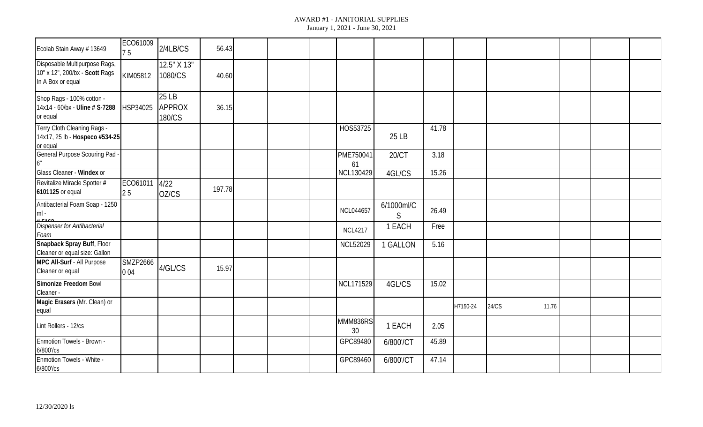| Ecolab Stain Away #13649                                                             | ECO61009<br>75  | 2/4LB/CS                  | 56.43  |  |                  |                            |       |          |       |       |  |  |
|--------------------------------------------------------------------------------------|-----------------|---------------------------|--------|--|------------------|----------------------------|-------|----------|-------|-------|--|--|
| Disposable Multipurpose Rags,<br>10" x 12", 200/bx - Scott Rags<br>In A Box or equal | KIM05812        | 12.5" X 13"<br>1080/CS    | 40.60  |  |                  |                            |       |          |       |       |  |  |
| Shop Rags - 100% cotton -<br>14x14 - 60/bx - Uline # S-7288<br>or equal              | HSP34025        | 25 LB<br>APPROX<br>180/CS | 36.15  |  |                  |                            |       |          |       |       |  |  |
| Terry Cloth Cleaning Rags -<br>14x17, 25 lb - Hospeco #534-25<br>or equal            |                 |                           |        |  | HOS53725         | 25 LB                      | 41.78 |          |       |       |  |  |
| <b>General Purpose Scouring Pad</b><br>6"                                            |                 |                           |        |  | PME750041<br>61  | 20/CT                      | 3.18  |          |       |       |  |  |
| Glass Cleaner - Windex or                                                            |                 |                           |        |  | <b>NCL130429</b> | 4GL/CS                     | 15.26 |          |       |       |  |  |
| Revitalize Miracle Spotter #<br>6101125 or equal                                     | ECO61011<br>25  | 4/22<br>OZ/CS             | 197.78 |  |                  |                            |       |          |       |       |  |  |
| Antibacterial Foam Soap - 1250<br>$ml -$                                             |                 |                           |        |  | <b>NCL044657</b> | 6/1000ml/C<br>$\mathsf{S}$ | 26.49 |          |       |       |  |  |
| <b>Dispenser for Antibacterial</b><br>Foam                                           |                 |                           |        |  | <b>NCL4217</b>   | 1 EACH                     | Free  |          |       |       |  |  |
| Snapback Spray Buff, Floor<br>Cleaner or equal size: Gallon                          |                 |                           |        |  | <b>NCL52029</b>  | 1 GALLON                   | 5.16  |          |       |       |  |  |
| MPC All-Surf - All Purpose<br>Cleaner or equal                                       | SMZP2666<br>004 | 4/GL/CS                   | 15.97  |  |                  |                            |       |          |       |       |  |  |
| Simonize Freedom Bowl<br>Cleaner -                                                   |                 |                           |        |  | NCL171529        | 4GL/CS                     | 15.02 |          |       |       |  |  |
| Magic Erasers (Mr. Clean) or<br>equal                                                |                 |                           |        |  |                  |                            |       | H7150-24 | 24/CS | 11.76 |  |  |
| Lint Rollers - 12/cs                                                                 |                 |                           |        |  | MMM836RS<br>30   | 1 EACH                     | 2.05  |          |       |       |  |  |
| Enmotion Towels - Brown -<br>6/800'/cs                                               |                 |                           |        |  | GPC89480         | 6/800'/CT                  | 45.89 |          |       |       |  |  |
| Enmotion Towels - White -<br>6/800'/cs                                               |                 |                           |        |  | GPC89460         | 6/800'/CT                  | 47.14 |          |       |       |  |  |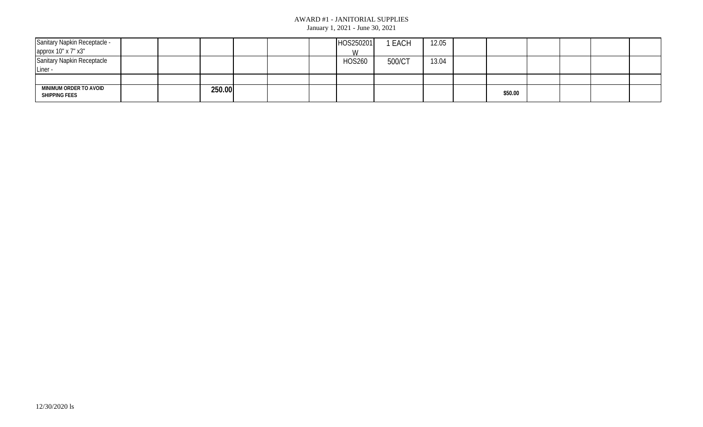| Sanitary Napkin Receptacle -            |  |        |  | HOS250201     | <b>EACH</b> | 12.05 |         |  |  |
|-----------------------------------------|--|--------|--|---------------|-------------|-------|---------|--|--|
| approx 10" x 7" x3"                     |  |        |  | W             |             |       |         |  |  |
| <b>Sanitary Napkin Receptacle</b>       |  |        |  | <b>HOS260</b> | 500/CT      | 13.04 |         |  |  |
| Liner -                                 |  |        |  |               |             |       |         |  |  |
|                                         |  |        |  |               |             |       |         |  |  |
| MINIMUM ORDER TO AVOID<br>SHIPPING FEES |  | 250.00 |  |               |             |       | \$50.00 |  |  |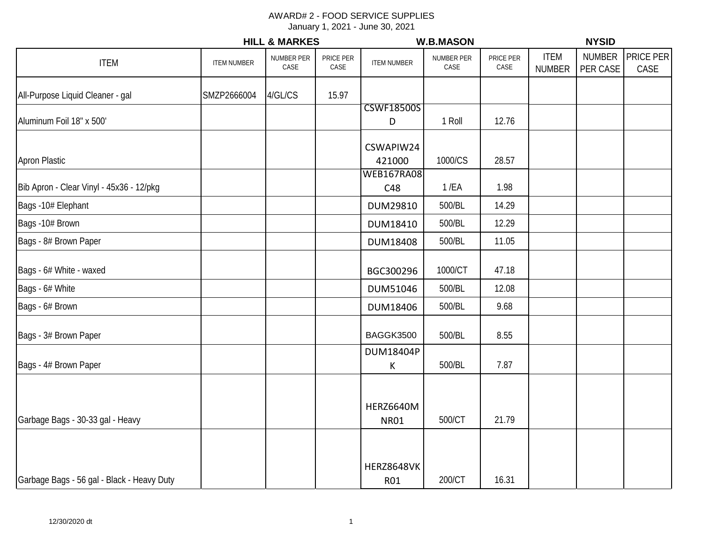|                                            |                    | <b>HILL &amp; MARKES</b> |                   |                                 | <b>W.B.MASON</b>   |                   |                              | <b>NYSID</b>              |                   |
|--------------------------------------------|--------------------|--------------------------|-------------------|---------------------------------|--------------------|-------------------|------------------------------|---------------------------|-------------------|
| <b>ITEM</b>                                | <b>ITEM NUMBER</b> | NUMBER PER<br>CASE       | PRICE PER<br>CASE | <b>ITEM NUMBER</b>              | NUMBER PER<br>CASE | PRICE PER<br>CASE | <b>ITEM</b><br><b>NUMBER</b> | <b>NUMBER</b><br>PER CASE | PRICE PER<br>CASE |
| All-Purpose Liquid Cleaner - gal           | SMZP2666004        | 4/GL/CS                  | 15.97             |                                 |                    |                   |                              |                           |                   |
| Aluminum Foil 18" x 500'                   |                    |                          |                   | <b>CSWF18500S</b><br>D          | 1 Roll             | 12.76             |                              |                           |                   |
| <b>Apron Plastic</b>                       |                    |                          |                   | CSWAPIW24<br>421000             | 1000/CS            | 28.57             |                              |                           |                   |
| Bib Apron - Clear Vinyl - 45x36 - 12/pkg   |                    |                          |                   | <b>WEB167RA08</b><br>C48        | $1$ /EA            | 1.98              |                              |                           |                   |
| Bags -10# Elephant                         |                    |                          |                   | DUM29810                        | 500/BL             | 14.29             |                              |                           |                   |
| Bags -10# Brown                            |                    |                          |                   | DUM18410                        | 500/BL             | 12.29             |                              |                           |                   |
| Bags - 8# Brown Paper                      |                    |                          |                   | <b>DUM18408</b>                 | 500/BL             | 11.05             |                              |                           |                   |
| Bags - 6# White - waxed                    |                    |                          |                   | BGC300296                       | 1000/CT            | 47.18             |                              |                           |                   |
| Bags - 6# White                            |                    |                          |                   | DUM51046                        | 500/BL             | 12.08             |                              |                           |                   |
| Bags - 6# Brown                            |                    |                          |                   | DUM18406                        | 500/BL             | 9.68              |                              |                           |                   |
| Bags - 3# Brown Paper                      |                    |                          |                   | BAGGK3500                       | 500/BL             | 8.55              |                              |                           |                   |
| Bags - 4# Brown Paper                      |                    |                          |                   | DUM18404P<br>K                  | 500/BL             | 7.87              |                              |                           |                   |
| Garbage Bags - 30-33 gal - Heavy           |                    |                          |                   | <b>HERZ6640M</b><br><b>NR01</b> | 500/CT             | 21.79             |                              |                           |                   |
| Garbage Bags - 56 gal - Black - Heavy Duty |                    |                          |                   | <b>HERZ8648VK</b><br>R01        | 200/CT             | 16.31             |                              |                           |                   |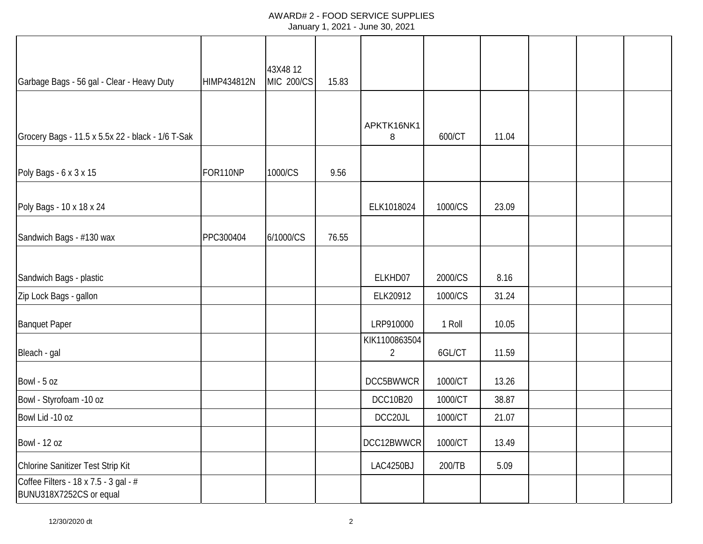| Garbage Bags - 56 gal - Clear - Heavy Duty                       | HIMP434812N | 43X4812<br><b>MIC 200/CS</b> | 15.83 |                                 |         |       |  |  |
|------------------------------------------------------------------|-------------|------------------------------|-------|---------------------------------|---------|-------|--|--|
|                                                                  |             |                              |       |                                 |         |       |  |  |
| Grocery Bags - 11.5 x 5.5x 22 - black - 1/6 T-Sak                |             |                              |       | APKTK16NK1<br>8                 | 600/CT  | 11.04 |  |  |
| Poly Bags - 6 x 3 x 15                                           | FOR110NP    | 1000/CS                      | 9.56  |                                 |         |       |  |  |
| Poly Bags - 10 x 18 x 24                                         |             |                              |       | ELK1018024                      | 1000/CS | 23.09 |  |  |
| Sandwich Bags - #130 wax                                         | PPC300404   | 6/1000/CS                    | 76.55 |                                 |         |       |  |  |
| Sandwich Bags - plastic                                          |             |                              |       | ELKHD07                         | 2000/CS | 8.16  |  |  |
| Zip Lock Bags - gallon                                           |             |                              |       | ELK20912                        | 1000/CS | 31.24 |  |  |
| <b>Banquet Paper</b>                                             |             |                              |       | LRP910000                       | 1 Roll  | 10.05 |  |  |
| Bleach - gal                                                     |             |                              |       | KIK1100863504<br>$\overline{2}$ | 6GL/CT  | 11.59 |  |  |
| Bowl - 5 oz                                                      |             |                              |       | DCC5BWWCR                       | 1000/CT | 13.26 |  |  |
| Bowl - Styrofoam -10 oz                                          |             |                              |       | <b>DCC10B20</b>                 | 1000/CT | 38.87 |  |  |
| Bowl Lid -10 oz                                                  |             |                              |       | DCC20JL                         | 1000/CT | 21.07 |  |  |
| Bowl - 12 oz                                                     |             |                              |       | DCC12BWWCR                      | 1000/CT | 13.49 |  |  |
| Chlorine Sanitizer Test Strip Kit                                |             |                              |       | LAC4250BJ                       | 200/TB  | 5.09  |  |  |
| Coffee Filters - 18 x 7.5 - 3 gal - #<br>BUNU318X7252CS or equal |             |                              |       |                                 |         |       |  |  |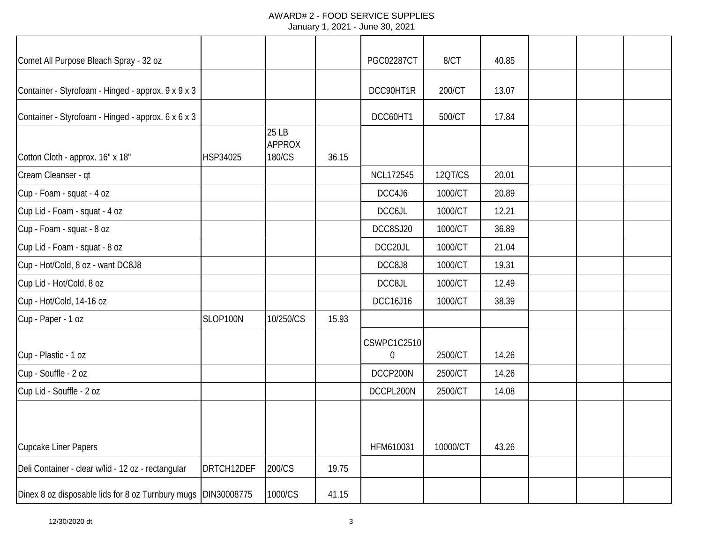| Comet All Purpose Bleach Spray - 32 oz                        |            |                                  |       | <b>PGC02287CT</b>                      | 8/CT     | 40.85 |  |  |
|---------------------------------------------------------------|------------|----------------------------------|-------|----------------------------------------|----------|-------|--|--|
| Container - Styrofoam - Hinged - approx. 9 x 9 x 3            |            |                                  |       | DCC90HT1R                              | 200/CT   | 13.07 |  |  |
| Container - Styrofoam - Hinged - approx. 6 x 6 x 3            |            |                                  |       | DCC60HT1                               | 500/CT   | 17.84 |  |  |
| Cotton Cloth - approx. 16" x 18"                              | HSP34025   | 25 LB<br><b>APPROX</b><br>180/CS | 36.15 |                                        |          |       |  |  |
| Cream Cleanser - qt                                           |            |                                  |       | NCL172545                              | 12QT/CS  | 20.01 |  |  |
| Cup - Foam - squat - 4 oz                                     |            |                                  |       | DCC4J6                                 | 1000/CT  | 20.89 |  |  |
| Cup Lid - Foam - squat - 4 oz                                 |            |                                  |       | DCC6JL                                 | 1000/CT  | 12.21 |  |  |
| Cup - Foam - squat - 8 oz                                     |            |                                  |       | DCC8SJ20                               | 1000/CT  | 36.89 |  |  |
| Cup Lid - Foam - squat - 8 oz                                 |            |                                  |       | DCC20JL                                | 1000/CT  | 21.04 |  |  |
| Cup - Hot/Cold, 8 oz - want DC8J8                             |            |                                  |       | DCC8J8                                 | 1000/CT  | 19.31 |  |  |
| Cup Lid - Hot/Cold, 8 oz                                      |            |                                  |       | DCC8JL                                 | 1000/CT  | 12.49 |  |  |
| Cup - Hot/Cold, 14-16 oz                                      |            |                                  |       | DCC16J16                               | 1000/CT  | 38.39 |  |  |
| Cup - Paper - 1 oz                                            | SLOP100N   | 10/250/CS                        | 15.93 |                                        |          |       |  |  |
| Cup - Plastic - 1 oz                                          |            |                                  |       | <b>CSWPC1C2510</b><br>$\boldsymbol{0}$ | 2500/CT  | 14.26 |  |  |
| Cup - Souffle - 2 oz                                          |            |                                  |       | DCCP200N                               | 2500/CT  | 14.26 |  |  |
| Cup Lid - Souffle - 2 oz                                      |            |                                  |       | DCCPL200N                              | 2500/CT  | 14.08 |  |  |
|                                                               |            |                                  |       |                                        |          |       |  |  |
| <b>Cupcake Liner Papers</b>                                   |            |                                  |       | HFM610031                              | 10000/CT | 43.26 |  |  |
| Deli Container - clear w/lid - 12 oz - rectangular            | DRTCH12DEF | 200/CS                           | 19.75 |                                        |          |       |  |  |
| Dinex 8 oz disposable lids for 8 oz Turnbury mugs DIN30008775 |            | 1000/CS                          | 41.15 |                                        |          |       |  |  |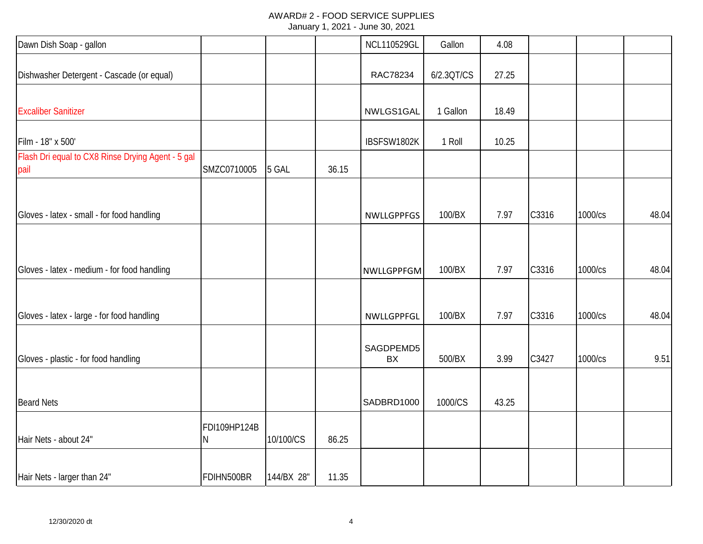| Dawn Dish Soap - gallon                                   |                   |            |       | <b>NCL110529GL</b> | Gallon     | 4.08  |       |         |       |
|-----------------------------------------------------------|-------------------|------------|-------|--------------------|------------|-------|-------|---------|-------|
| Dishwasher Detergent - Cascade (or equal)                 |                   |            |       | RAC78234           | 6/2.3QT/CS | 27.25 |       |         |       |
| <b>Excaliber Sanitizer</b>                                |                   |            |       | NWLGS1GAL          | 1 Gallon   | 18.49 |       |         |       |
| Film - 18" x 500'                                         |                   |            |       | IBSFSW1802K        | 1 Roll     | 10.25 |       |         |       |
| Flash Dri equal to CX8 Rinse Drying Agent - 5 gal<br>pail | SMZC0710005       | 5 GAL      | 36.15 |                    |            |       |       |         |       |
| Gloves - latex - small - for food handling                |                   |            |       | <b>NWLLGPPFGS</b>  | 100/BX     | 7.97  | C3316 | 1000/cs | 48.04 |
|                                                           |                   |            |       |                    |            |       |       |         |       |
| Gloves - latex - medium - for food handling               |                   |            |       | NWLLGPPFGM         | 100/BX     | 7.97  | C3316 | 1000/cs | 48.04 |
| Gloves - latex - large - for food handling                |                   |            |       | NWLLGPPFGL         | 100/BX     | 7.97  | C3316 | 1000/cs | 48.04 |
| Gloves - plastic - for food handling                      |                   |            |       | SAGDPEMD5<br>BX    | 500/BX     | 3.99  | C3427 | 1000/cs | 9.51  |
| <b>Beard Nets</b>                                         |                   |            |       | SADBRD1000         | 1000/CS    | 43.25 |       |         |       |
| Hair Nets - about 24"                                     | FDI109HP124B<br>Ν | 10/100/CS  | 86.25 |                    |            |       |       |         |       |
| Hair Nets - larger than 24"                               | FDIHN500BR        | 144/BX 28" | 11.35 |                    |            |       |       |         |       |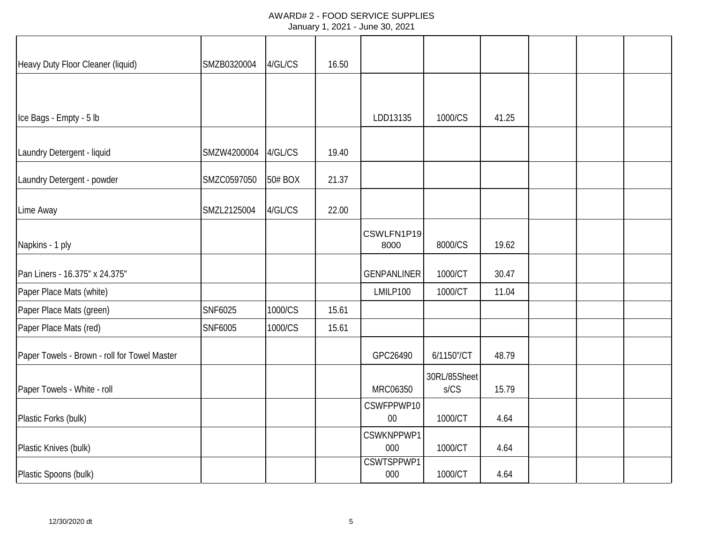| Heavy Duty Floor Cleaner (liquid)            | SMZB0320004 | 4/GL/CS | 16.50 |                      |                      |       |  |  |
|----------------------------------------------|-------------|---------|-------|----------------------|----------------------|-------|--|--|
|                                              |             |         |       |                      |                      |       |  |  |
| Ice Bags - Empty - 5 lb                      |             |         |       | LDD13135             | 1000/CS              | 41.25 |  |  |
| Laundry Detergent - liquid                   | SMZW4200004 | 4/GL/CS | 19.40 |                      |                      |       |  |  |
| Laundry Detergent - powder                   | SMZC0597050 | 50# BOX | 21.37 |                      |                      |       |  |  |
| Lime Away                                    | SMZL2125004 | 4/GL/CS | 22.00 |                      |                      |       |  |  |
| Napkins - 1 ply                              |             |         |       | CSWLFN1P19<br>8000   | 8000/CS              | 19.62 |  |  |
| Pan Liners - 16.375" x 24.375"               |             |         |       | <b>GENPANLINER</b>   | 1000/CT              | 30.47 |  |  |
| Paper Place Mats (white)                     |             |         |       | LMILP100             | 1000/CT              | 11.04 |  |  |
| Paper Place Mats (green)                     | SNF6025     | 1000/CS | 15.61 |                      |                      |       |  |  |
| Paper Place Mats (red)                       | SNF6005     | 1000/CS | 15.61 |                      |                      |       |  |  |
| Paper Towels - Brown - roll for Towel Master |             |         |       | GPC26490             | 6/1150"/CT           | 48.79 |  |  |
| Paper Towels - White - roll                  |             |         |       | MRC06350             | 30RL/85Sheet<br>S/CS | 15.79 |  |  |
| Plastic Forks (bulk)                         |             |         |       | CSWFPPWP10<br>$00\,$ | 1000/CT              | 4.64  |  |  |
| Plastic Knives (bulk)                        |             |         |       | CSWKNPPWP1<br>000    | 1000/CT              | 4.64  |  |  |
| Plastic Spoons (bulk)                        |             |         |       | CSWTSPPWP1<br>000    | 1000/CT              | 4.64  |  |  |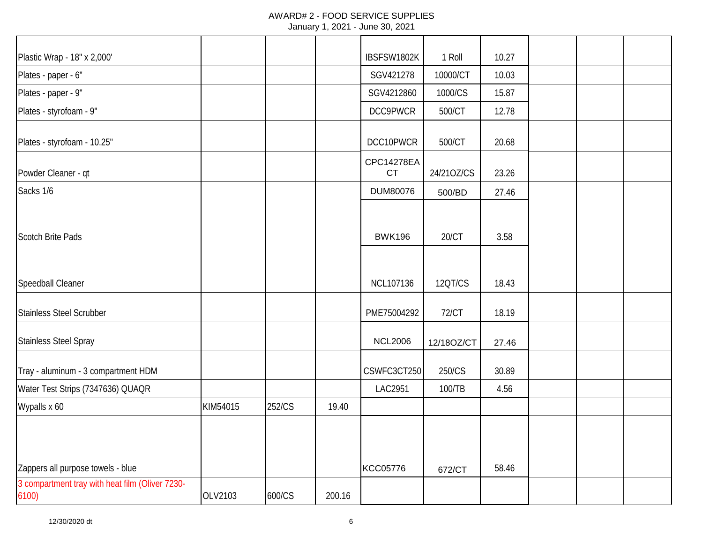| Plastic Wrap - 18" x 2,000'                              |          |        |        | IBSFSW1802K      | 1 Roll       | 10.27 |  |  |
|----------------------------------------------------------|----------|--------|--------|------------------|--------------|-------|--|--|
| Plates - paper - 6"                                      |          |        |        | SGV421278        | 10000/CT     | 10.03 |  |  |
| Plates - paper - 9"                                      |          |        |        | SGV4212860       | 1000/CS      | 15.87 |  |  |
| Plates - styrofoam - 9"                                  |          |        |        | DCC9PWCR         | 500/CT       | 12.78 |  |  |
| Plates - styrofoam - 10.25"                              |          |        |        | DCC10PWCR        | 500/CT       | 20.68 |  |  |
| Powder Cleaner - qt                                      |          |        |        | CPC14278EA<br>CT | 24/210Z/CS   | 23.26 |  |  |
| Sacks 1/6                                                |          |        |        | DUM80076         | 500/BD       | 27.46 |  |  |
| <b>Scotch Brite Pads</b>                                 |          |        |        | <b>BWK196</b>    | 20/CT        | 3.58  |  |  |
| Speedball Cleaner                                        |          |        |        | NCL107136        | 12QT/CS      | 18.43 |  |  |
| <b>Stainless Steel Scrubber</b>                          |          |        |        | PME75004292      | <b>72/CT</b> | 18.19 |  |  |
| <b>Stainless Steel Spray</b>                             |          |        |        | <b>NCL2006</b>   | 12/18OZ/CT   | 27.46 |  |  |
| Tray - aluminum - 3 compartment HDM                      |          |        |        | CSWFC3CT250      | 250/CS       | 30.89 |  |  |
| Water Test Strips (7347636) QUAQR                        |          |        |        | LAC2951          | 100/TB       | 4.56  |  |  |
| Wypalls x 60                                             | KIM54015 | 252/CS | 19.40  |                  |              |       |  |  |
| Zappers all purpose towels - blue                        |          |        |        | KCC05776         | 672/CT       | 58.46 |  |  |
| 3 compartment tray with heat film (Oliver 7230-<br>6100) | OLV2103  | 600/CS | 200.16 |                  |              |       |  |  |